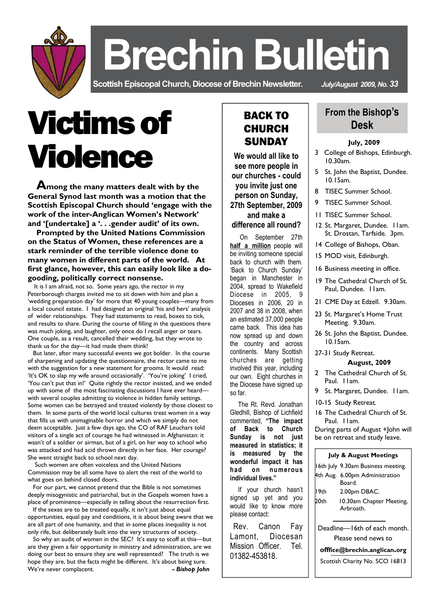

 **Brechin Bulletin** 

**Scottish Episcopal Church, Diocese of Brechin Newsletter***. July/August 2009, No. 33* 

# Victims of Violence

 **Among the many matters dealt with by the General Synod last month was a motion that the Scottish Episcopal Church should 'engage with the work of the inter-Anglican Women's Network' and '[undertake] a '. . .gender audit' of its own.** 

 **Prompted by the United Nations Commission on the Status of Women, these references are a stark reminder of the terrible violence done to many women in different parts of the world. At first glance, however, this can easily look like a dogooding, politically correct nonsense.** 

 It is I am afraid, not so. Some years ago, the rector in my Peterborough charges invited me to sit down with him and plan a 'wedding preparation day' for more that 40 young couples—many from a local council estate. I had designed an original 'his and hers' analysis of wider relationships. They had statements to read, boxes to tick, and results to share. During the course of filling in the questions there was much joking, and laughter, only once do I recall anger or tears. One couple, as a result, cancelled their wedding, but they wrote to thank us for the day—it had made them think!

 But later, after many successful events we got bolder. In the course of sharpening and updating the questionnaire, the rector came to me with the suggestion for a new statement for grooms. It would read: 'It's OK to slap my wife around occasionally'. 'You're joking' I cried, 'You can't put that in!' Quite rightly the rector insisted, and we ended up with some of the most fascinating discussions I have ever heardwith several couples admitting to violence in hidden family settings. Some women can be betrayed and treated violently by those closest to them. In some parts of the world local cultures treat women in a way that fills us with unimaginable horror and which we simply do not deem acceptable. Just a few days ago, the CO of RAF Leuchars told visitors of a single act of courage he had witnessed in Afghanistan: it wasn't of a soldier or airman, but of a girl, on her way to school who was attacked and had acid thrown directly in her face. Her courage? She went straight back to school next day.

 Such women are often voiceless and the United Nations Commission may be all some have to alert the rest of the world to what goes on behind closed doors.

 For our part, we cannot pretend that the Bible is not sometimes deeply misogynistic and patriarchal, but in the Gospels women have a place of prominence—especially in telling about the resurrection first.

 If the sexes are to be treated equally, it isn't just about equal opportunities, equal pay and conditions, it is about being aware that we are all part of one humanity, and that in some places inequality is not only rife, but deliberately built into the very structures of society.

 So why an audit of women in the SEC? It's easy to scoff at this—but are they given a fair opportunity in ministry and administration, are we doing our best to ensure they are well represented? The truth is we hope they are, but the facts might be different. It's about being sure. We're never complacent. **and the set of the set of the Solution Section**  $\mathbf{B}$  **Bishop John** 

## BACK TO CHURCH **SUNDAY**

**We would all like to see more people in our churches - could you invite just one person on Sunday, 27th September, 2009 and make a difference all round?** 

 On September 27th **half a million** people will be inviting someone special back to church with them. 'Back to Church Sunday' began in Manchester in 2004, spread to Wakefield Diocese in 2005, 9 Dioceses in 2006, 20 in 2007 and 38 in 2008, when an estimated 37,000 people came back. This idea has now spread up and down the country and across continents. Many Scottish churches are getting involved this year, including our own. Eight churches in the Diocese have signed up so far.

 The Rt. Revd. Jonathan Gledhill, Bishop of Lichfield commented, **"The impact of Back to Church Sunday is not just measured in statistics; it is measured by the wonderful impact it has had on numerous individual lives."** 

 If your church hasn't signed up yet and you would like to know more please contact:

 Rev. Canon Fay Lamont, Diocesan Mission Officer. Tel. 01382-453818.

## **From the Bishop's Desk**

#### **July, 2009**

- 3 College of Bishops, Edinburgh. 10.30am.
- 5 St. John the Baptist, Dundee. 10.15am.
- 8 TISEC Summer School.
- 9 TISEC Summer School.
- 11 TISEC Summer School.
- 12 St. Margaret, Dundee. 11am. St. Drostan, Tarfside. 3pm.
- 14 College of Bishops, Oban.
- 15 MOD visit, Edinburgh.
- 16 Business meeting in office.
- 19 The Cathedral Church of St. Paul, Dundee. I I am.
- 21 CME Day at Edzell. 9.30am.
- 23 St. Margaret's Home Trust Meeting. 9.30am.
- 26 St. John the Baptist, Dundee. 10.15am.

#### 27-31 Study Retreat.

#### **August, 2009**

- 2 The Cathedral Church of St. Paul. 11am.
- 9 St. Margaret, Dundee. Ilam.
- 10-15 Study Retreat.

16 The Cathedral Church of St. Paul. 11am. During parts of August +John will

be on retreat and study leave.

#### **July & August Meetings**

|       | 16th July 9.30am Business meeting. |
|-------|------------------------------------|
|       | 4th Aug. 6.00pm Administration     |
|       | Board.                             |
| I 9th | 2.00pm DBAC.                       |
| 20th  | 10.30am Chapter Meeting,           |
|       | Arhroath.                          |
|       |                                    |
|       | Deadline-I6th of each month.       |
|       | Please send news to                |
|       | offfice@brechin.anglican.org       |
|       | Scottish Charity No. SCO 16813     |